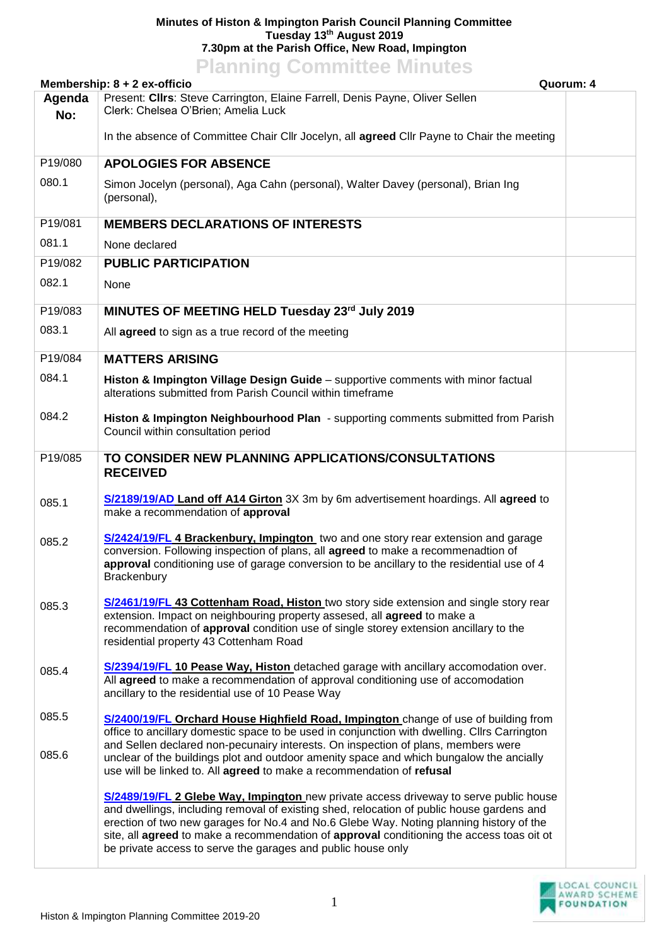## **Minutes of Histon & Impington Parish Council Planning Committee Tuesday 13th August 2019 7.30pm at the Parish Office, New Road, Impington Planning Committee Minutes**

| <b>FIGHTING CONTINUES MINUTES</b><br>Quorum: 4<br>Membership: 8 + 2 ex-officio |                                                                                                                                                                                                                                                                                                                                                                                                                                                   |  |  |
|--------------------------------------------------------------------------------|---------------------------------------------------------------------------------------------------------------------------------------------------------------------------------------------------------------------------------------------------------------------------------------------------------------------------------------------------------------------------------------------------------------------------------------------------|--|--|
| Agenda                                                                         | Present: Clirs: Steve Carrington, Elaine Farrell, Denis Payne, Oliver Sellen                                                                                                                                                                                                                                                                                                                                                                      |  |  |
| No:                                                                            | Clerk: Chelsea O'Brien; Amelia Luck                                                                                                                                                                                                                                                                                                                                                                                                               |  |  |
|                                                                                | In the absence of Committee Chair Cllr Jocelyn, all <b>agreed</b> Cllr Payne to Chair the meeting                                                                                                                                                                                                                                                                                                                                                 |  |  |
| P19/080                                                                        | <b>APOLOGIES FOR ABSENCE</b>                                                                                                                                                                                                                                                                                                                                                                                                                      |  |  |
| 080.1                                                                          | Simon Jocelyn (personal), Aga Cahn (personal), Walter Davey (personal), Brian Ing<br>(personal),                                                                                                                                                                                                                                                                                                                                                  |  |  |
| P19/081                                                                        | <b>MEMBERS DECLARATIONS OF INTERESTS</b>                                                                                                                                                                                                                                                                                                                                                                                                          |  |  |
| 081.1                                                                          | None declared                                                                                                                                                                                                                                                                                                                                                                                                                                     |  |  |
| P19/082                                                                        | <b>PUBLIC PARTICIPATION</b>                                                                                                                                                                                                                                                                                                                                                                                                                       |  |  |
| 082.1                                                                          | None                                                                                                                                                                                                                                                                                                                                                                                                                                              |  |  |
| P19/083                                                                        | MINUTES OF MEETING HELD Tuesday 23rd July 2019                                                                                                                                                                                                                                                                                                                                                                                                    |  |  |
| 083.1                                                                          | All agreed to sign as a true record of the meeting                                                                                                                                                                                                                                                                                                                                                                                                |  |  |
| P19/084                                                                        | <b>MATTERS ARISING</b>                                                                                                                                                                                                                                                                                                                                                                                                                            |  |  |
| 084.1                                                                          | Histon & Impington Village Design Guide - supportive comments with minor factual<br>alterations submitted from Parish Council within timeframe                                                                                                                                                                                                                                                                                                    |  |  |
| 084.2                                                                          | Histon & Impington Neighbourhood Plan - supporting comments submitted from Parish<br>Council within consultation period                                                                                                                                                                                                                                                                                                                           |  |  |
| P19/085                                                                        | TO CONSIDER NEW PLANNING APPLICATIONS/CONSULTATIONS<br><b>RECEIVED</b>                                                                                                                                                                                                                                                                                                                                                                            |  |  |
| 085.1                                                                          | S/2189/19/AD Land off A14 Girton 3X 3m by 6m advertisement hoardings. All agreed to<br>make a recommendation of approval                                                                                                                                                                                                                                                                                                                          |  |  |
| 085.2                                                                          | S/2424/19/FL 4 Brackenbury, Impington two and one story rear extension and garage<br>conversion. Following inspection of plans, all agreed to make a recommenadtion of<br>approval conditioning use of garage conversion to be ancillary to the residential use of 4<br>Brackenbury                                                                                                                                                               |  |  |
| 085.3                                                                          | S/2461/19/FL 43 Cottenham Road, Histon two story side extension and single story rear<br>extension. Impact on neighbouring property assesed, all agreed to make a<br>recommendation of approval condition use of single storey extension ancillary to the<br>residential property 43 Cottenham Road                                                                                                                                               |  |  |
| 085.4                                                                          | S/2394/19/FL 10 Pease Way, Histon detached garage with ancillary accomodation over.<br>All agreed to make a recommendation of approval conditioning use of accomodation<br>ancillary to the residential use of 10 Pease Way                                                                                                                                                                                                                       |  |  |
| 085.5                                                                          | S/2400/19/FL Orchard House Highfield Road, Impington change of use of building from<br>office to ancillary domestic space to be used in conjunction with dwelling. Cllrs Carrington                                                                                                                                                                                                                                                               |  |  |
| 085.6                                                                          | and Sellen declared non-pecunairy interests. On inspection of plans, members were<br>unclear of the buildings plot and outdoor amenity space and which bungalow the ancially<br>use will be linked to. All agreed to make a recommendation of refusal                                                                                                                                                                                             |  |  |
|                                                                                | <b>S/2489/19/FL 2 Glebe Way, Impington</b> new private access driveway to serve public house<br>and dwellings, including removal of existing shed, relocation of public house gardens and<br>erection of two new garages for No.4 and No.6 Glebe Way. Noting planning history of the<br>site, all agreed to make a recommendation of approval conditioning the access toas oit ot<br>be private access to serve the garages and public house only |  |  |